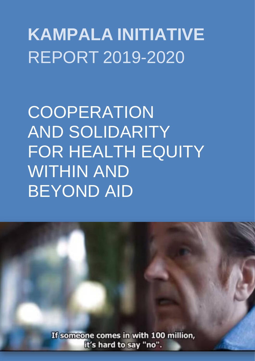# **KAMPALA INITIATIVE** REPORT 2019-2020

**COOPERATION** AND SOLIDARITY FOR HEALTH EQUITY WITHIN AND BEYOND AID

If someone comes in with 100 million, it's hard to say "no".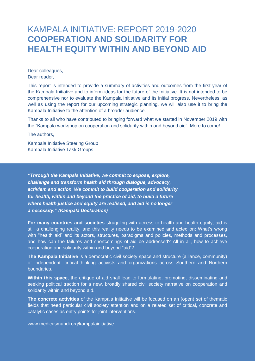### KAMPALA INITIATIVE: REPORT 2019-2020 **COOPERATION AND SOLIDARITY FOR HEALTH EQUITY WITHIN AND BEYOND AID**

Dear colleagues, Dear reader,

This report is intended to provide a summary of activities and outcomes from the first year of the Kampala Initiative and to inform ideas for the future of the Initiative. It is not intended to be comprehensive nor to evaluate the Kampala Initiative and its initial progress. Nevertheless, as well as using the report for our upcoming strategic planning, we will also use it to bring the Kampala Initiative to the attention of a broader audience.

Thanks to all who have contributed to bringing forward what we started in November 2019 with the "Kampala workshop on cooperation and solidarity within and beyond aid". More to come!

The authors,

Kampala Initiative Steering Group Kampala Initiative Task Groups

*"Through the Kampala Initiative, we commit to expose, explore, challenge and transform health aid through dialogue, advocacy, activism and action. We commit to build cooperation and solidarity for health, within and beyond the practice of aid, to build a future where health justice and equity are realised, and aid is no longer a necessity." (Kampala Declaration)*

**For many countries and societies** struggling with access to health and health equity, aid is still a challenging reality, and this reality needs to be examined and acted on: What's wrong with "health aid" and its actors, structures, paradigms and policies, methods and processes, and how can the failures and shortcomings of aid be addressed? All in all, how to achieve cooperation and solidarity within and beyond "aid"?

**The Kampala Initiative** is a democratic civil society space and structure (alliance, community) of independent, critical-thinking activists and organizations across Southern and Northern boundaries.

**Within this space**, the critique of aid shall lead to formulating, promoting, disseminating and seeking political traction for a new, broadly shared civil society narrative on cooperation and solidarity within and beyond aid.

**The concrete activities** of the Kampala Initiative will be focused on an (open) set of thematic fields that need particular civil society attention and on a related set of critical, concrete and catalytic cases as entry points for joint interventions.

[www.medicusmundi.org/kampalainitiative](http://www.medicusmundi.org/kampalainitiative)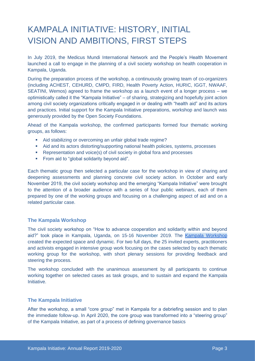### KAMPALA INITIATIVE: HISTORY, INITIAL VISION AND AMBITIONS, FIRST STEPS

In July 2019, the Medicus Mundi International Network and the People's Health Movement launched a call to engage in the planning of a civil society workshop on health cooperation in Kampala, Uganda.

During the preparation process of the workshop, a continuously growing team of co-organizers (including ACHEST, CEHURD, CMPD, FIRD, Health Poverty Action, HURIC, IGGT, NWAAF, SEATINI, Wemos) agreed to frame the workshop as a launch event of a longer process – we optimistically called it the "Kampala Initiative" – of sharing, strategizing and hopefully joint action among civil society organizations critically engaged in or dealing with "health aid" and its actors and practices. Initial support for the Kampala Initiative preparations, workshop and launch was generously provided by the Open Society Foundations.

Ahead of the Kampala workshop, the confirmed participants formed four [thematic](https://www.medicusmundi.org/kampalainitiative) working [groups,](https://www.medicusmundi.org/kampalainitiative) as follows:

- Aid stabilizing or overcoming an unfair global trade regime?
- Aid and its actors distorting/supporting national health policies, systems, processes
- Representation and voice(s) of civil society in global fora and processes
- From aid to "global solidarity beyond aid".

Each thematic group then selected a particular case for the workshop in view of sharing and deepening assessments and planning concrete civil society action. In October and early November 2019, the civil society workshop and the emerging "Kampala Initiative" were brought to the attention of a broader audience with a series of [four public webinars,](https://www.medicusmundi.org/kampalawebinars/) each of them prepared by one of the working groups and focusing on a challenging aspect of aid and on a related particular case.

#### **The Kampala Workshop**

The civil society workshop on "How to advance cooperation and solidarity within and beyond aid?" took place in Kampala, Uganda, on 15-16 November 2019. The [Kampala Workshop](https://www.medicusmundi.org/kampala2019/) created the expected space and dynamic. For two full days, the 25 invited experts, practitioners and activists engaged in intensive group work focusing on the cases selected by each thematic working group for the workshop, with short plenary sessions for providing feedback and steering the process.

The workshop concluded with the unanimous assessment by all participants to continue working together on selected cases as task groups, and to sustain and expand the Kampala Initiative.

#### **The Kampala Initiative**

After the workshop, a small "core group" met in Kampala for a debriefing session and to plan the immediate follow-up. In April 2020, the core group was transformed into a "steering group" of the Kampala Initiative, as part of a process of defining governance basics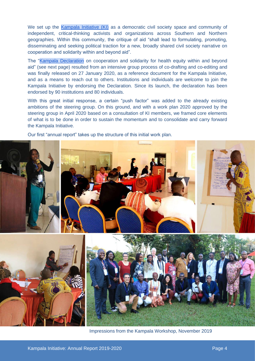We set up the [Kampala Initiative \(KI\)](https://www.medicusmundi.org/kampalainitiative/) as a democratic civil society space and community of independent, critical-thinking activists and organizations across Southern and Northern geographies. Within this community, the critique of aid "shall lead to formulating, promoting, disseminating and seeking political traction for a new, broadly shared civil society narrative on cooperation and solidarity within and beyond aid".

The ["Kampala Declaration](https://www.medicusmundi.org/kampaladeclaration/) on cooperation and solidarity for health equity within and beyond aid" (see next page) resulted from an intensive group process of co-drafting and co-editing and was finally released on 27 January 2020, as a reference document for the Kampala Initiative, and as a means to reach out to others. Institutions and individuals are welcome to join the Kampala Initiative by endorsing the Declaration. Since its launch, the declaration has been endorsed by 90 institutions and 80 individuals.

With this great initial response, a certain "push factor" was added to the already existing ambitions of the steering group. On this ground, and with a [work plan 2020](https://drive.google.com/file/d/1eaq0APoPsAWt7gWGYQec0XEgOvkrythp/view?usp=sharing) approved by the steering group in April 2020 based on a consultation of KI members, we framed core elements of what is to be done in order to sustain the momentum and to consolidate and carry forward the Kampala Initiative.

Our first "annual report" takes up the structure of this initial work plan.



Impressions from the Kampala Workshop, November 2019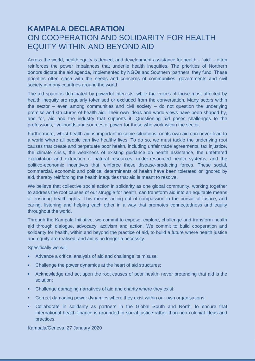### **KAMPALA DECLARATION** ON COOPERATION AND SOLIDARITY FOR HEALTH EQUITY WITHIN AND BEYOND AID

Across the world, health equity is denied, and development assistance for health – "aid" – often reinforces the power imbalances that underlie health inequities. The priorities of Northern donors dictate the aid agenda, implemented by NGOs and Southern 'partners' they fund. These priorities often clash with the needs and concerns of communities, governments and civil society in many countries around the world.

The aid space is dominated by powerful interests, while the voices of those most affected by health inequity are regularly tokenised or excluded from the conversation. Many actors within the sector – even among communities and civil society – do not question the underlying premise and structures of health aid. Their own ideas and world views have been shaped by, and for, aid and the industry that supports it. Questioning aid poses challenges to the professions, livelihoods and sources of power for those who work within the sector.

Furthermore, whilst health aid is important in some situations, on its own aid can never lead to a world where all people can live healthy lives. To do so, we must tackle the underlying root causes that create and perpetuate poor health, including unfair trade agreements, tax injustice, the climate crisis, the weakness of existing guidance on health assistance, the unfettered exploitation and extraction of natural resources, under-resourced health systems, and the politico-economic incentives that reinforce those disease-producing forces. These social, commercial, economic and political determinants of health have been tolerated or ignored by aid, thereby reinforcing the health inequities that aid is meant to resolve.

We believe that collective social action in solidarity as one global community, working together to address the root causes of our struggle for health, can transform aid into an equitable means of ensuring health rights. This means acting out of compassion in the pursuit of justice, and caring, listening and helping each other in a way that promotes connectedness and equity throughout the world.

Through the Kampala Initiative, we commit to expose, explore, challenge and transform health aid through dialogue, advocacy, activism and action. We commit to build cooperation and solidarity for health, within and beyond the practice of aid, to build a future where health justice and equity are realised, and aid is no longer a necessity.

Specifically we will:

- **EXEDENT A** Advance a critical analysis of aid and challenge its misuse:
- Challenge the power dynamics at the heart of aid structures;
- **•** Acknowledge and act upon the root causes of poor health, never pretending that aid is the solution;
- Challenge damaging narratives of aid and charity where they exist;
- Correct damaging power dynamics where they exist within our own organisations;
- Collaborate in solidarity as partners in the Global South and North, to ensure that international health finance is grounded in social justice rather than neo-colonial ideas and practices.

Kampala/Geneva, 27 January 2020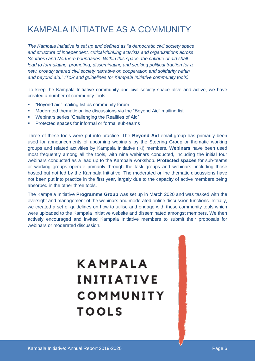### KAMPALA INITIATIVE AS A COMMUNITY

*The Kampala Initiative is set up and defined as "a democratic civil society space and structure of independent, critical-thinking activists and organizations across Southern and Northern boundaries. Within this space, the critique of aid shall lead to formulating, promoting, disseminating and seeking political traction for a new, broadly shared civil society narrative on cooperation and solidarity within and beyond aid." (ToR and guidelines for Kampala Initiative community tools)*

To keep the Kampala Initiative community and civil society space alive and active, we have created a number of community tools:

- "Beyond aid" mailing list as community forum
- Moderated thematic online discussions via the "Beyond Aid" mailing list
- Webinars series "Challenging the Realities of Aid"
- Protected spaces for informal or formal sub-teams

Three of these tools were put into practice. The **Beyond Aid** email group has primarily been used for announcements of upcoming webinars by the Steering Group or thematic working groups and related activities by Kampala Initiative (KI) members. **Webinars** have been used most frequently among all the tools, with nine webinars conducted, including the initial four webinars conducted as a lead up to the Kampala workshop. **Protected spaces** for sub-teams or working groups operate primarily through the task groups and webinars, including those hosted but not led by the Kampala Initiative. The moderated online thematic discussions have not been put into practice in the first year, largely due to the capacity of active members being absorbed in the other three tools.

The Kampala Initiative **Programme Group** was set up in March 2020 and was tasked with the oversight and management of the webinars and moderated online discussion functions. Initially, we created a set of guidelines on how to utilise and engage with these community tools which were uploaded to the Kampala Initiative website and disseminated amongst members. We then actively encouraged and invited Kampala Initiative members to submit their proposals for webinars or moderated discussion.

## **KAMPALA INITIATIVE** COMMUNITY **TOOLS**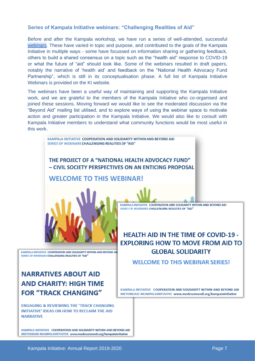#### **Series of Kampala Initiative webinars: "Challenging Realities of Aid"**

Before and after the Kampala workshop, we have run a series of well-attended, successful [webinars.](https://www.medicusmundi.org/kampalawebinars/) These have varied in topic and purpose, and contributed to the goals of the Kampala Initiative in multiple ways - some have focussed on information sharing or gathering feedback, others to build a shared consensus on a topic such as the "health aid" response to COVID-19 or what the future of "aid" should look like. Some of the webinars resulted in draft papers, notably the narrative of 'health aid' and feedback on the "National Health Advocacy Fund Partnership", which is still in its conceptualisation phase. A full list of Kampala Initiative [Webinars](https://www.medicusmundi.org/kampalawebinars/) is provided on the KI website.

The webinars have been a useful way of maintaining and supporting the Kampala Initiative work, and we are grateful to the members of the Kampala Initiative who co-organised and joined these sessions. Moving forward we would like to see the moderated discussion via the "Beyond Aid" mailing list utilised, and to explore ways of using the webinar space to motivate action and greater participation in the Kampala Initiative. We would also like to consult with Kampala Initiative members to understand what community functions would be most useful in this work.



### **NARRATIVES ABOUT AID AND CHARITY: HIGH TIME FOR "TRACK CHANGING"**

**ENGAGING & REVIEWING THE 'TRACK CHANGING** INITIATIVE' IDEAS ON HOW TO RECLAIM THE AID **NARRATIVE** 

KAMPALA INITIATIVE COOPERATION AND SOLIDARITY WITHIN AND BEYOND AID #BEYONDAID #KAMPALAINITIATIVE www.medicusmundi.org/kampalainitiative

#### KAMPALA INITIATIVE COOPERATION AND SOLIDARITY WITHIN AND BEYOND AID #BEYONDAID #KAMPALAINITIATIVE www.medicusmundi.org/kampalainitiative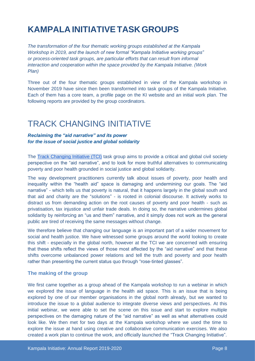### **KAMPALA INITIATIVETASKGROUPS**

*The transformation of the four thematic working groups established at the Kampala Workshop in 2019, and the launch of new formal "Kampala Initiative working groups" or process-oriented task groups, are particular efforts that can result from informal interaction and cooperation within the space provided by the Kampala Initiative. (Work Plan)*

Three out of the four thematic groups established in view of the Kampala workshop in November 2019 have since then been transformed into task groups of the Kampala Initiative. Each of them has a core team, a profile page on the KI website and an initial work plan. The following reports are provided by the group coordinators.

### TRACK CHANGING INITIATIVE

#### *Reclaiming the "aid narrative" and its power for the issue of social justice and global solidarity*

The [Track Changing Initiative \(TCI\)](https://www.medicusmundi.org/track-changing-initiative/) task group aims to provide a critical and global civil society perspective on the "aid narrative", and to look for more truthful alternatives to communicating poverty and poor health grounded in social justice and global solidarity.

The way development practitioners currently talk about issues of poverty, poor health and inequality within the "health aid" space is damaging and undermining our goals. The "aid narrative" - which tells us that poverty is natural, that it happens largely in the global south and that aid and charity are the "solutions" - is rooted in colonial discourse. It actively works to distract us from demanding action on the root causes of poverty and poor health - such as privatisation, tax injustice and unfair trade deals. In doing so, the narrative undermines global solidarity by reinforcing an "us and them" narrative, and it simply does not work as the general public are tired of receiving the same messages without change.

We therefore believe that changing our language is an important part of a wider movement for social and health justice. We have witnessed some groups around the world looking to create this shift - especially in the global north, however at the TCI we are concerned with ensuring that these shifts reflect the views of those most affected by the "aid narrative" and that these shifts overcome unbalanced power relations and tell the truth and poverty and poor health rather than presenting the current status quo through "rose-tinted glasses".

#### **The making of the group**

We first came together as a group ahead of the Kampala workshop to run a webinar in which we explored the issue of language in the health aid space. This is an issue that is being explored by one of our member organisations in the global north already, but we wanted to introduce the issue to a global audience to integrate diverse views and perspectives. At this initial webinar, we were able to set the scene on this issue and start to explore multiple perspectives on the damaging nature of the "aid narrative" as well as what alternatives could look like. We then met for two days at the Kampala workshop where we used the time to explore the issue at hand using creative and collaborative communication exercises. We also created a work plan to continue the work, and officially launched the ["Track Changing Initiative".](https://www.medicusmundi.org/track-changing-initiative/)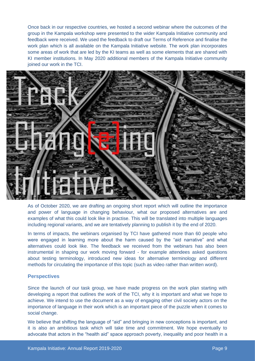Once back in our respective countries, we hosted a second webinar where the outcomes of the group in the Kampala workshop were presented to the wider Kampala Initiative community and feedback were received. We used the feedback to draft our Terms of Reference and finalise the work plan which is all available on the Kampala Initiative website. The work plan incorporates some areas of work that are led by the KI teams as well as some elements that are shared with KI member institutions. In May 2020 additional members of the Kampala Initiative community joined our work in the TCI.



As of October 2020, we are drafting an ongoing short report which will outline the importance and power of language in changing behaviour, what our proposed alternatives are and examples of what this could look like in practise. This will be translated into multiple languages including regional variants, and we are tentatively planning to publish it by the end of 2020.

In terms of impacts, the webinars organised by TCI have gathered more than 60 people who were engaged in learning more about the harm caused by the "aid narrative" and what alternatives could look like. The feedback we received from the webinars has also been instrumental in shaping our work moving forward - for example attendees asked questions about testing terminology, introduced new ideas for alternative terminology and different methods for circulating the importance of this topic (such as video rather than written word).

#### **Perspectives**

Since the launch of our task group, we have made progress on the work plan starting with developing a report that outlines the work of the TCI, why it is important and what we hope to achieve. We intend to use the document as a way of engaging other civil society actors on the importance of language in their work which is an important piece of the puzzle when it comes to social change.

We believe that shifting the language of "aid" and bringing in new conceptions is important, and it is also an ambitious task which will take time and commitment. We hope eventually to advocate that actors in the "health aid" space approach poverty, inequality and poor health in a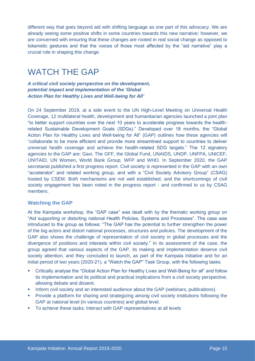different way that goes beyond aid with shifting language as one part of this advocacy. We are already seeing some positive shifts in some countries towards this new narrative; however, we are concerned with ensuring that these changes are rooted in real social change as opposed to tokenistic gestures and that the voices of those most affected by the "aid narrative" play a crucial role in shaping this change.

### WATCH THE GAP

*A critical civil society perspective on the development, potential impact and implementation of the 'Global Action Plan for Healthy Lives and Well-being for All'*

On 24 September 2019, at a side event to the UN High-Level Meeting on Universal Health Coverage, 12 multilateral health, development and humanitarian agencies launched a joint plan "to better support countries over the next 10 years to accelerate progress towards the healthrelated Sustainable Development Goals (SDGs)." Developed over 18 months, the "Global Action Plan for Healthy Lives and Well-being for All" (GAP) outlines how these agencies will "collaborate to be more efficient and provide more streamlined support to countries to deliver universal health coverage and achieve the health-related SDG targets." The 12 signatory agencies to the GAP are: Gavi, The GFF, the Global Fund, UNAIDS, UNDP, UNFPA, UNICEF, UNITAID, UN Women, World Bank Group, WFP and WHO. In September 2020, the GAP secretariat published a first progress report. Civil society is represented in the GAP with an own "accelerator" and related working group, and with a "Civil Society Advisory Group" (CSAG) hosted by CSEM. Both mechanisms are not well established, and the shortcomings of civil society engagement has been noted in the progress report - and confirmed to us by CSAG members.

#### **Watching the GAP**

At the Kampala workshop, the "GAP case" was dealt with by the thematic working group on "Aid supporting or distorting national Health Policies, Systems and Processes". The case was introduced to the group as follows: "The GAP has the potential to further strengthen the power of the big actors and distort national processes, structures and policies. The development of the GAP also shows the challenge of representation of civil society in global processes and the divergence of positions and interests within civil society." In its assessment of the case, the group agreed that various aspects of the GAP, its making and implementation deserve civil society attention, and they concluded to launch, as part of the Kampala Initiative and for an initial period of two years (2020-21), a "Watch the GAP" Task Group, with the following tasks:

- Critically analyse the "Global Action Plan for Healthy Lives and Well-Being for all" and follow its implementation and its political and practical implications from a civil society perspective, allowing debate and dissent.
- **•** Inform civil society and an interested audience about the GAP (webinars, publications).
- **•** Provide a platform for sharing and strategizing among civil society institutions following the GAP at national level (in various countries) and global level.
- To achieve these tasks: Interact with GAP representatives at all levels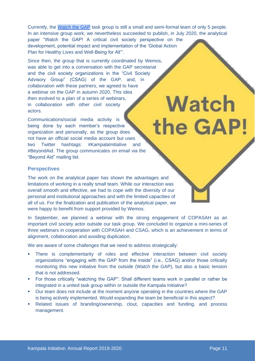Currently, the [Watch the GAP](https://www.medicusmundi.org/watch-the-gap/) task group is still a small and semi-formal team of only 5 people. In an intensive group work, we nevertheless succeeded to publish, in July 2020, the analytical paper "Watch the GAP! A critical civil society perspective on the development, potential impact and implementation of the 'Global Action Plan for Healthy Lives and Well-Being for All'".

Since then, the group that is currently coordinated by Wemos, was able to get into a conversation with the GAP secretariat and the civil society organizations in the "Civil Society Advisory Group" (CSAG) of the GAP, and, in collaboration with these partners, we agreed to have a webinar on the GAP in autumn 2020. This idea **Watch** then evolved to a plan of a series of webinars, in collaboration with other civil society actors.

Communications/social media activity is being done by each member's respective organization and personally, as the group does not have an official social media account but uses two Twitter hashtags: #KampalaInitiative and #BeyondAid. The group communicates on email via the "Beyond Aid" mailing list.

#### **Perspectives**

The work on the analytical paper has shown the advantages and limitations of working in a really small team. While our interaction was overall smooth and effective, we had to cope with the diversity of our personal and institutional approaches and with the limited capacities of all of us. For the finalization and publication of the analytical paper, we were happy to benefit from support provided by Wemos.

In September, we planned a webinar with the strong engagement of COPASAH as an important civil society actor outside our task group. We concluded to organize a mini-series of three webinars in cooperation with COPASAH and CSAG, which is an achievement in terms of alignment, collaboration and avoiding duplication.

We are aware of some challenges that we need to address strategically:

- There is complementarity of roles and effective interaction between civil society organizations "engaging with the GAP from the inside" (i.e., CSAG) and/or those critically monitoring this new initiative from the outside (Watch the GAP), but also a basic tension that is not addressed.
- **•** For those critically "watching the GAP": Shall different teams work in parallel or rather be integrated in a united task group within or outside the Kampala Initiative?
- **•** Our team does not include at the moment anyone operating in the countries where the GAP is being actively implemented. Would expanding the team be beneficial in this aspect?
- Related issues of branding/ownership, clout, capacities and funding, and process management.

the GAP!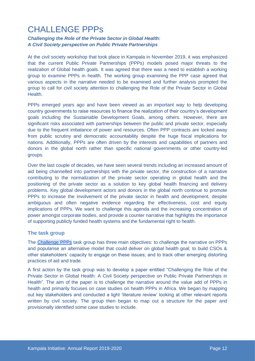### CHALLENGE PPPs

#### *Challenging the Role of the Private Sector in Global Health: A Civil Society perspective on Public Private Partnerships*

At the civil society workshop that took place in Kampala in November 2019, it was emphasized that the current Public Private Partnerships (PPPs) models posed major threats to the realization of Global health goals. It was agreed that there was a need to establish a working group to examine PPPs in health. The working group examining the PPP case agreed that various aspects in the narrative needed to be examined and further analysis prompted the group to call for civil society attention to challenging the Role of the Private Sector in Global Health.

PPPs emerged years ago and have been viewed as an important way to help developing country governments to raise resources to finance the realization of their country's development goals including the Sustainable Development Goals, among others. However, there are significant risks associated with partnerships between the public and private sector, especially due to the frequent imbalance of power and resources. Often PPP contracts are locked away from public scrutiny and democratic accountability despite the huge fiscal implications for nations. Additionally, PPPs are often driven by the interests and capabilities of partners and donors in the global north rather than specific national governments or other country-led groups.

Over the last couple of decades, we have seen several trends including an increased amount of aid being channelled into partnerships with the private sector, the construction of a narrative contributing to the normalization of the private sector operating in global health and the positioning of the private sector as a solution to key global health financing and delivery problems. Key global development actors and donors in the global north continue to promote PPPs to increase the involvement of the private sector in health and development, despite ambiguous and often negative evidence regarding the effectiveness, cost and equity implications of PPPs. We want to challenge this agenda and the increasing concentration of power amongst corporate bodies, and provide a counter narrative that highlights the importance of supporting publicly funded health systems and the fundamental right to health.

#### **The task group**

The [Challenge PPPs](https://www.medicusmundi.org/challenge-ppps/) task group has three main objectives: to challenge the narrative on PPPs and popularise an alternative model that could deliver on global health goal; to build CSOs & other stakeholders' capacity to engage on these issues; and to track other emerging distorting practices of aid and trade.

A first action by the task group was to develop a paper entitled "Challenging the Role of the Private Sector in Global Health: A Civil Society perspective on Public Private Partnerships in Health". The aim of the paper is to challenge the narrative around the value add of PPPs in health and primarily focuses on case studies on health PPPs in Africa. We began by mapping out key stakeholders and conducted a light 'literature review' looking at other relevant reports written by civil society. The group then began to map out a structure for the paper and provisionally identified some case studies to include.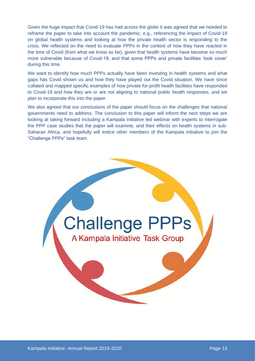Given the huge impact that Covid-19 has had across the globe it was agreed that we needed to reframe the paper to take into account the pandemic, e.g., referencing the impact of Covid-19 on global health systems and looking at how the private health sector is responding to the crisis. We reflected on the need to evaluate PPPs in the context of how they have reacted in the time of Covid (from what we know so far), given that health systems have become so much more vulnerable because of Covid-19, and that some PPPs and private facilities 'took cover' during this time.

We want to identify how much PPPs actually have been investing in health systems and what gaps has Covid shown us and how they have played out the Covid situation. We have since collated and mapped specific examples of how private for-profit health facilities have responded to Covid-19 and how they are or are not aligning to national public health responses, and we plan to incorporate this into the paper.

We also agreed that our conclusions of the paper should focus on the challenges that national governments need to address. The conclusion to this paper will inform the next steps we are looking at taking forward including a Kampala Initiative led webinar with experts to interrogate the PPP case studies that the paper will examine, and their effects on health systems in sub-Saharan Africa, and hopefully will entice other members of the Kampala Initiative to join the "Challenge PPPs" task team.

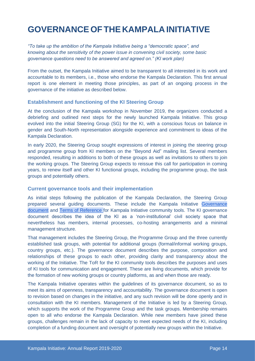### **GOVERNANCE OFTHE KAMPALA INITIATIVE**

*"To take up the ambition of the Kampala Initiative being a "democratic space", and knowing about the sensitivity of the power issue in convening civil society, some basic governance questions need to be answered and agreed on." (KI work plan)* 

From the outset, the Kampala Initiative aimed to be transparent to all interested in its work and accountable to its members, i.e., those who endorse the Kampala Declaration. This first annual report is one element in meeting those principles, as part of an ongoing process in the governance of the initiative as described below.

#### **Establishment and functioning of the KI Steering Group**

At the conclusion of the Kampala workshop in November 2019, the organizers conducted a debriefing and outlined next steps for the newly launched Kampala Initiative. This group evolved into the initial Steering Group (SG) for the KI, with a conscious focus on balance in gender and South-North representation alongside experience and commitment to ideas of the Kampala Declaration.

In early 2020, the Steering Group sought expressions of interest in joining the steering group and programme group from KI members on the "Beyond Aid" mailing list. Several members responded, resulting in additions to both of these groups as well as invitations to others to join the working groups. The Steering Group expects to reissue this call for participation in coming years, to renew itself and other KI functional groups, including the programme group, the task groups and potentially others.

#### **Current governance tools and their implementation**

As initial steps following the publication of the Kampala Declaration, the Steering Group prepared several guiding documents. These include the [Kampala Initiative Governance](https://docs.google.com/document/d/11_mh9LXOOQxttdU-N9mXL5zUeBTLrBRkTl7mNyztJaM/edit#heading=h.b7llmtrijmab)  [document](https://docs.google.com/document/d/11_mh9LXOOQxttdU-N9mXL5zUeBTLrBRkTl7mNyztJaM/edit#heading=h.b7llmtrijmab) and [Terms of Reference for Kampala Initiative community tools.](https://docs.google.com/document/d/1pYBhb1mcZxXURKSvHElPDUA8nV-cMy3KmJ4ogEUJzvM/edit) The KI governance document describes the idea of the KI as a 'non-institutional' civil society space that nevertheless has members, internal processes, co-hosting arrangements and a minimal management structure.

That management includes the Steering Group, the Programme Group and the three currently established task groups, with potential for additional groups (formal/informal working groups, country groups, etc.). The governance document describes the purpose, composition and relationships of these groups to each other, providing clarity and transparency about the working of the Initiative. The ToR for the KI community tools describes the purposes and uses of KI tools for communication and engagement. These are living documents, which provide for the formation of new working groups or country platforms, as and when those are ready.

The Kampala Initiative operates within the guidelines of its governance document, so as to meet its aims of openness, transparency and accountability. The governance document is open to revision based on changes in the initiative, and any such revision will be done openly and in consultation with the KI members. Management of the Initiative is led by a Steering Group, which supports the work of the Programme Group and the task groups. Membership remains open to all who endorse the Kampala Declaration. While new members have joined these groups, challenges remain in the lack of capacity to meet expected needs of the KI, including completion of a funding document and oversight of potentially new groups within the Initiative.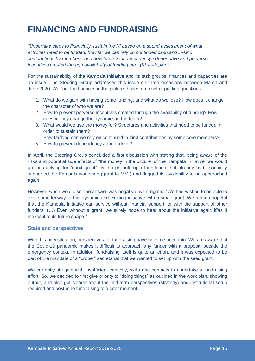### **FINANCING AND FUNDRAISING**

*"Undertake steps to financially sustain the KI based on a sound assessment of what activities need to be funded, how far we can rely on continued cash and in-kind contributions by members, and how to prevent dependency / donor drive and perverse incentives created through availability of funding etc. "(KI work plan)*

For the sustainability of the Kampala Initiative and its task groups, finances and capacities are an issue. The Steering Group addressed this issue on three occasions between March and June 2020. We "put the finances in the picture" based on a set of guiding questions:

- 1. What do we gain with having some funding, and what do we lose? How does it change the character of who we are?
- 2. How to prevent perverse incentives created through the availability of funding? How does money change the dynamics in the team?
- 3. What would we use the money for? Structures and activities that need to be funded in order to sustain them?
- 4. How far/long can we rely on continued in-kind contributions by some core members?
- 5. How to prevent dependency / donor drive?

In April, the Steering Group concluded a first discussion with stating that, being aware of the risks and potential side effects of "the money in the picture" of the Kampala Initiative, we would go for applying for "seed grant" by the philanthropic foundation that already had financially supported the Kampala workshop (grant to MMI) and flagged its availability to be approached again.

However, when we did so, the answer was negative, with regrets: "We had wished to be able to give some leeway to this dynamic and exciting initiative with a small grant. We remain hopeful that the Kampala Initiative can survive without financial support, or with the support of other funders.  $(...)$  Even without a grant, we surely hope to hear about the initiative again if/as it makes it to its future shape."

#### **State and perspectives**

With this new situation, perspectives for fundraising have become uncertain. We are aware that the Covid-19 pandemic makes it difficult to approach any funder with a proposal outside the emergency context. In addition, fundraising itself is quite an effort, and it was expected to be part of the mandate of a "proper" secretariat that we wanted to set up with the seed grant.

We currently struggle with insufficient capacity, skills and contacts to undertake a fundraising effort. So, we decided to first give priority to "doing things" as outlined in the work plan, showing output, and also get clearer about the mid-term perspectives (strategy) and institutional setup required and postpone fundraising to a later moment.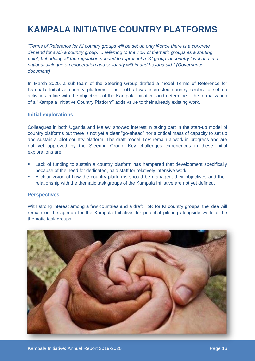### **KAMPALA INITIATIVE COUNTRY PLATFORMS**

*"Terms of Reference for KI country groups will be set up only if/once there is a concrete demand for such a country group. ... referring to the ToR of thematic groups as a starting*  point, but adding all the regulation needed to represent a 'KI group' at country level and in a *national dialogue on cooperation and solidarity within and beyond aid." (Governance document)*

In March 2020, a sub-team of the Steering Group drafted a model Terms of Reference for Kampala Initiative country platforms. The ToR allows interested country circles to set up activities in line with the objectives of the Kampala Initiative, and determine if the formalization of a "Kampala Initiative Country Platform" adds value to their already existing work.

#### **Initial explorations**

Colleagues in both Uganda and Malawi showed interest in taking part in the start-up model of country platforms but there is not yet a clear "go-ahead" nor a critical mass of capacity to set up and sustain a pilot country platform. The draft model ToR remain a work in progress and are not yet approved by the Steering Group. Key challenges experiences in these initial explorations are:

- **EXECT** Lack of funding to sustain a country platform has hampered that development specifically because of the need for dedicated, paid staff for relatively intensive work;
- **•** A clear vision of how the country platforms should be managed, their objectives and their relationship with the thematic task groups of the Kampala Initiative are not yet defined.

#### **Perspectives**

With strong interest among a few countries and a draft ToR for KI country groups, the idea will remain on the agenda for the Kampala Initiative, for potential piloting alongside work of the thematic task groups.

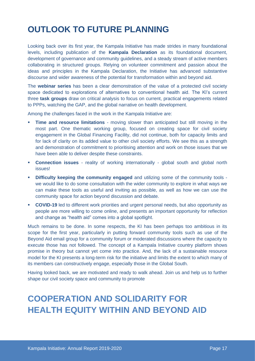### **OUTLOOK TO FUTURE PLANNING**

Looking back over its first year, the Kampala Initiative has made strides in many foundational levels, including publication of the **Kampala Declaration** as its foundational document, development of governance and community guidelines, and a steady stream of active members collaborating in structured groups. Relying on volunteer commitment and passion about the ideas and principles in the Kampala Declaration, the Initiative has advanced substantive discourse and wider awareness of the potential for transformation within and beyond aid.

The **webinar series** has been a clear demonstration of the value of a protected civil society space dedicated to explorations of alternatives to conventional health aid. The KI's current three **task groups** draw on critical analysis to focus on current, practical engagements related to PPPs, watching the GAP, and the global narrative on health development.

Among the challenges faced in the work in the Kampala Initiative are:

- **Time and resource limitations** moving slower than anticipated but still moving in the most part. One thematic working group, focused on creating space for civil society engagement in the Global Financing Facility, did not continue, both for capacity limits and for lack of clarity on its added value to other civil society efforts. We see this as a strength and demonstration of commitment to prioritising attention and work on those issues that we have been able to deliver despite these constraints.
- **Connection issues** reality of working internationally global south and global north issues!
- **Difficulty keeping the community engaged** and utilizing some of the community tools we would like to do some consultation with the wider community to explore in what ways we can make these tools as useful and inviting as possible, as well as how we can use the community space for action beyond discussion and debate.
- **COVID-19** led to different work priorities and urgent personal needs, but also opportunity as people are more willing to come online, and presents an important opportunity for reflection and change as "health aid" comes into a global spotlight.

Much remains to be done. In some respects, the KI has been perhaps too ambitious in its scope for the first year, particularly in putting forward community tools such as use of the Beyond Aid email group for a community forum or moderated discussions where the capacity to execute those has not followed. The concept of a Kampala Initiative country platform shows promise in theory but cannot yet come into practice. And, the lack of a sustainable resource model for the KI presents a long-term risk for the initiative and limits the extent to which many of its members can constructively engage, especially those in the Global South.

Having looked back, we are motivated and ready to walk ahead. Join us and help us to further shape our civil society space and community to promote

### **COOPERATION AND SOLIDARITY FOR HEALTH EQUITY WITHIN AND BEYOND AID**